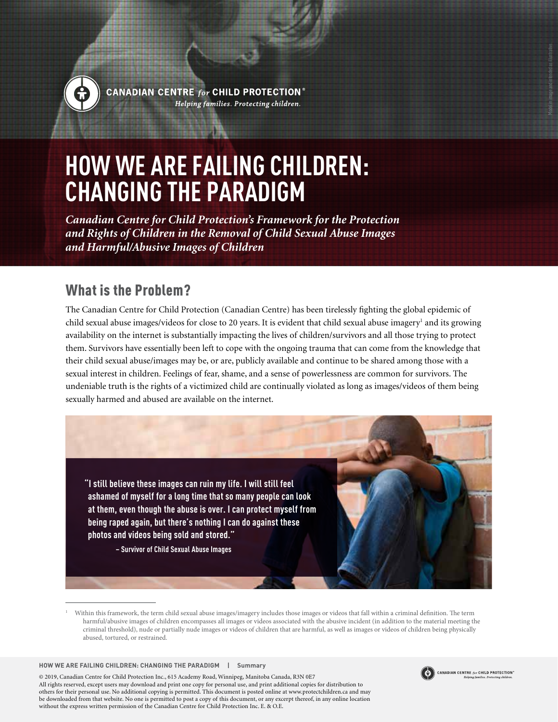

CANADIAN CENTRE  $\mathit{for}$  CHILD PROTECTION® Helping families. Protecting children.

# **HOW WE ARE FAILING CHILDREN: CHANGING THE PARADIGM**

*Canadian Centre for Child Protection's Framework for the Protection and Rights of Children in the Removal of Child Sexual Abuse Images and Harmful/Abusive Images of Children*

### What is the Problem?

The Canadian Centre for Child Protection (Canadian Centre) has been tirelessly fighting the global epidemic of child sexual abuse images/videos for close to 20 years. It is evident that child sexual abuse imagery<sup>1</sup> and its growing availability on the internet is substantially impacting the lives of children/survivors and all those trying to protect them. Survivors have essentially been left to cope with the ongoing trauma that can come from the knowledge that their child sexual abuse/images may be, or are, publicly available and continue to be shared among those with a sexual interest in children. Feelings of fear, shame, and a sense of powerlessness are common for survivors. The undeniable truth is the rights of a victimized child are continually violated as long as images/videos of them being sexually harmed and abused are available on the internet.

**"I still believe these images can ruin my life. I will still feel ashamed of myself for a long time that so many people can look at them, even though the abuse is over. I can protect myself from being raped again, but there's nothing I can do against these photos and videos being sold and stored."** 

**– Survivor of Child Sexual Abuse Images**

**HOW WE ARE FAILING CHILDREN: CHANGING THE PARADIGM | Summary**

© 2019, Canadian Centre for Child Protection Inc., 615 Academy Road, Winnipeg, Manitoba Canada, R3N 0E7 All rights reserved, except users may download and print one copy for personal use, and print additional copies for distribution to others for their personal use. No additional copying is permitted. This document is posted online at www.protectchildren.ca and may be downloaded from that website. No one is permitted to post a copy of this document, or any excerpt thereof, in any online location without the express written permission of the Canadian Centre for Child Protection Inc. E. & O.E.



Model in image and intended as illustrative.

<sup>1</sup> Within this framework, the term child sexual abuse images/imagery includes those images or videos that fall within a criminal definition. The term harmful/abusive images of children encompasses all images or videos associated with the abusive incident (in addition to the material meeting the criminal threshold), nude or partially nude images or videos of children that are harmful, as well as images or videos of children being physically abused, tortured, or restrained.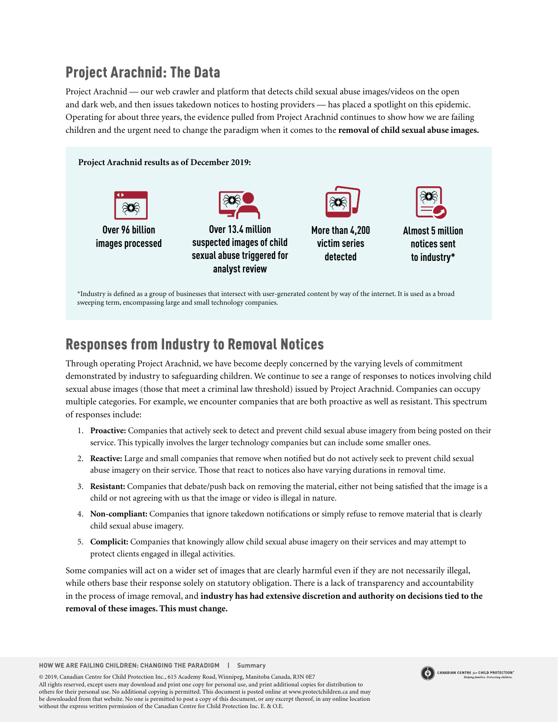# Project Arachnid: The Data

Project Arachnid — our web crawler and platform that detects child sexual abuse images/videos on the open and dark web, and then issues takedown notices to hosting providers — has placed a spotlight on this epidemic. Operating for about three years, the evidence pulled from Project Arachnid continues to show how we are failing children and the urgent need to change the paradigm when it comes to the **removal of child sexual abuse images.** 



### Responses from Industry to Removal Notices

Through operating Project Arachnid, we have become deeply concerned by the varying levels of commitment demonstrated by industry to safeguarding children. We continue to see a range of responses to notices involving child sexual abuse images (those that meet a criminal law threshold) issued by Project Arachnid. Companies can occupy multiple categories. For example, we encounter companies that are both proactive as well as resistant. This spectrum of responses include:

- 1. **Proactive:** Companies that actively seek to detect and prevent child sexual abuse imagery from being posted on their service. This typically involves the larger technology companies but can include some smaller ones.
- 2. **Reactive:** Large and small companies that remove when notified but do not actively seek to prevent child sexual abuse imagery on their service. Those that react to notices also have varying durations in removal time.
- 3. **Resistant:** Companies that debate/push back on removing the material, either not being satisfied that the image is a child or not agreeing with us that the image or video is illegal in nature.
- 4. **Non-compliant:** Companies that ignore takedown notifications or simply refuse to remove material that is clearly child sexual abuse imagery.
- 5. **Complicit:** Companies that knowingly allow child sexual abuse imagery on their services and may attempt to protect clients engaged in illegal activities.

Some companies will act on a wider set of images that are clearly harmful even if they are not necessarily illegal, while others base their response solely on statutory obligation. There is a lack of transparency and accountability in the process of image removal, and **industry has had extensive discretion and authority on decisions tied to the removal of these images. This must change.**

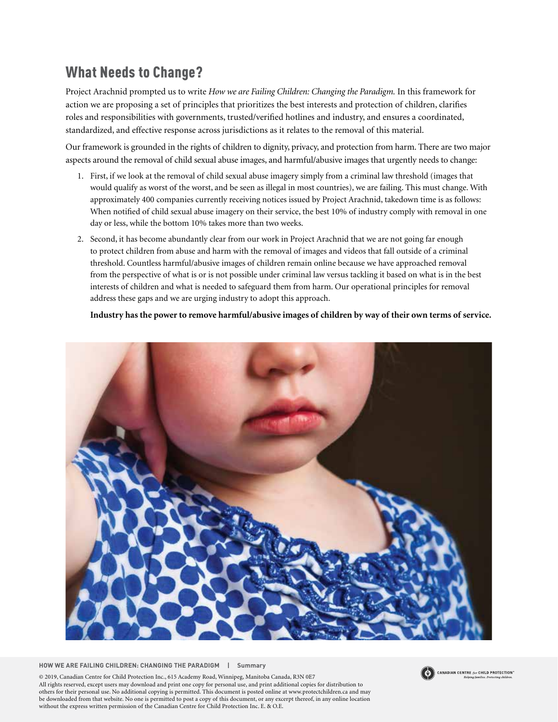### What Needs to Change?

Project Arachnid prompted us to write *How we are Failing Children: Changing the Paradigm.* In this framework for action we are proposing a set of principles that prioritizes the best interests and protection of children, clarifies roles and responsibilities with governments, trusted/verified hotlines and industry, and ensures a coordinated, standardized, and effective response across jurisdictions as it relates to the removal of this material.

Our framework is grounded in the rights of children to dignity, privacy, and protection from harm. There are two major aspects around the removal of child sexual abuse images, and harmful/abusive images that urgently needs to change:

- 1. First, if we look at the removal of child sexual abuse imagery simply from a criminal law threshold (images that would qualify as worst of the worst, and be seen as illegal in most countries), we are failing. This must change. With approximately 400 companies currently receiving notices issued by Project Arachnid, takedown time is as follows: When notified of child sexual abuse imagery on their service, the best 10% of industry comply with removal in one day or less, while the bottom 10% takes more than two weeks.
- 2. Second, it has become abundantly clear from our work in Project Arachnid that we are not going far enough to protect children from abuse and harm with the removal of images and videos that fall outside of a criminal threshold. Countless harmful/abusive images of children remain online because we have approached removal from the perspective of what is or is not possible under criminal law versus tackling it based on what is in the best interests of children and what is needed to safeguard them from harm. Our operational principles for removal address these gaps and we are urging industry to adopt this approach.

**Industry has the power to remove harmful/abusive images of children by way of their own terms of service.**



**HOW WE ARE FAILING CHILDREN: CHANGING THE PARADIGM | Summary**

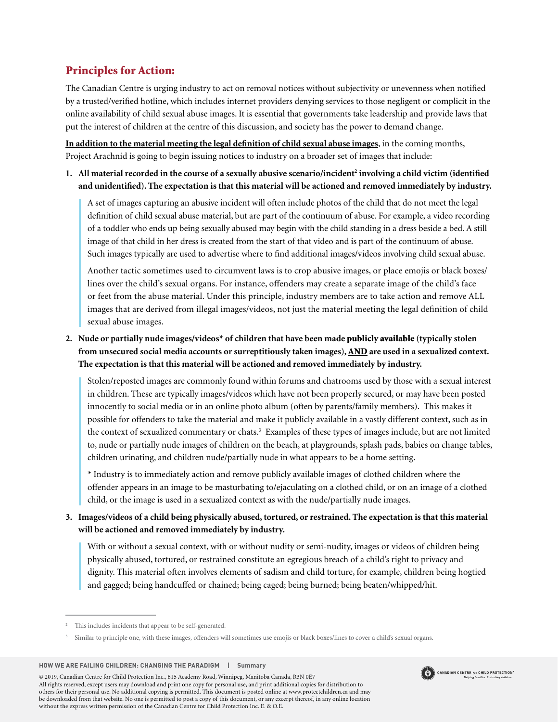### Principles for Action:

The Canadian Centre is urging industry to act on removal notices without subjectivity or unevenness when notified by a trusted/verified hotline, which includes internet providers denying services to those negligent or complicit in the online availability of child sexual abuse images. It is essential that governments take leadership and provide laws that put the interest of children at the centre of this discussion, and society has the power to demand change.

**In addition to the material meeting the legal definition of child sexual abuse images**, in the coming months, Project Arachnid is going to begin issuing notices to industry on a broader set of images that include:

1. All material recorded in the course of a sexually abusive scenario/incident<sup>2</sup> involving a child victim (identified **and unidentified). The expectation is that this material will be actioned and removed immediately by industry.** 

A set of images capturing an abusive incident will often include photos of the child that do not meet the legal definition of child sexual abuse material, but are part of the continuum of abuse. For example, a video recording of a toddler who ends up being sexually abused may begin with the child standing in a dress beside a bed. A still image of that child in her dress is created from the start of that video and is part of the continuum of abuse. Such images typically are used to advertise where to find additional images/videos involving child sexual abuse.

Another tactic sometimes used to circumvent laws is to crop abusive images, or place emojis or black boxes/ lines over the child's sexual organs. For instance, offenders may create a separate image of the child's face or feet from the abuse material. Under this principle, industry members are to take action and remove ALL images that are derived from illegal images/videos, not just the material meeting the legal definition of child sexual abuse images.

#### **2. Nude or partially nude images/videos\* of children that have been made** publicly available **(typically stolen from unsecured social media accounts or surreptitiously taken images),** AND **are used in a sexualized context. The expectation is that this material will be actioned and removed immediately by industry.**

Stolen/reposted images are commonly found within forums and chatrooms used by those with a sexual interest in children. These are typically images/videos which have not been properly secured, or may have been posted innocently to social media or in an online photo album (often by parents/family members). This makes it possible for offenders to take the material and make it publicly available in a vastly different context, such as in the context of sexualized commentary or chats.<sup>3</sup> Examples of these types of images include, but are not limited to, nude or partially nude images of children on the beach, at playgrounds, splash pads, babies on change tables, children urinating, and children nude/partially nude in what appears to be a home setting.

\* Industry is to immediately action and remove publicly available images of clothed children where the offender appears in an image to be masturbating to/ejaculating on a clothed child, or on an image of a clothed child, or the image is used in a sexualized context as with the nude/partially nude images.

**3. Images/videos of a child being physically abused, tortured, or restrained. The expectation is that this material will be actioned and removed immediately by industry.** 

With or without a sexual context, with or without nudity or semi-nudity, images or videos of children being physically abused, tortured, or restrained constitute an egregious breach of a child's right to privacy and dignity. This material often involves elements of sadism and child torture, for example, children being hogtied and gagged; being handcuffed or chained; being caged; being burned; being beaten/whipped/hit.

**HOW WE ARE FAILING CHILDREN: CHANGING THE PARADIGM | Summary**



This includes incidents that appear to be self-generated.

<sup>3</sup> Similar to principle one, with these images, offenders will sometimes use emojis or black boxes/lines to cover a child's sexual organs.